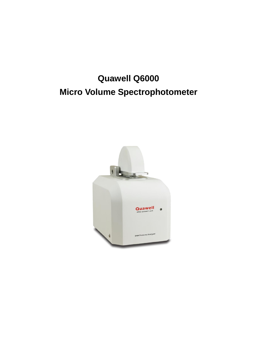## **Quawell Q6000 Micro Volume Spectrophotometer**